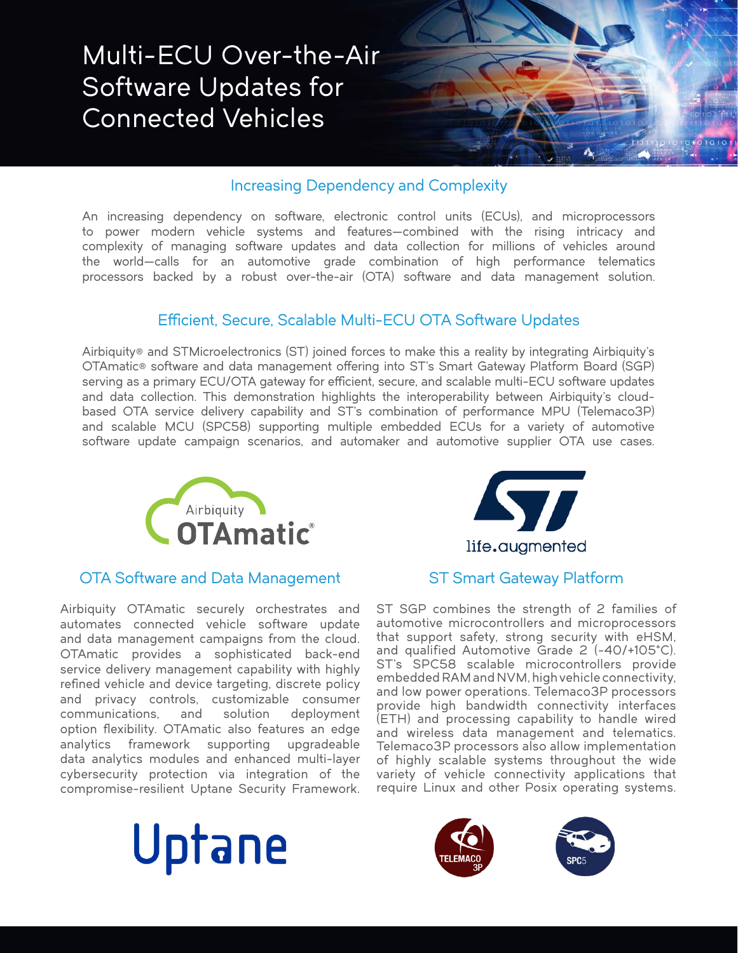

## Increasing Dependency and Complexity

An increasing dependency on software, electronic control units (ECUs), and microprocessors to power modern vehicle systems and features—combined with the rising intricacy and complexity of managing software updates and data collection for millions of vehicles around the world—calls for an automotive grade combination of high performance telematics processors backed by a robust over-the-air (OTA) software and data management solution.

## Efficient, Secure, Scalable Multi-ECU OTA Software Updates

Airbiquity® and STMicroelectronics (ST) joined forces to make this a reality by integrating Airbiquity's OTAmatic® software and data management offering into ST's Smart Gateway Platform Board (SGP) serving as a primary ECU/OTA gateway for efficient, secure, and scalable multi-ECU software updates and data collection. This demonstration highlights the interoperability between Airbiquity's cloudbased OTA service delivery capability and ST's combination of performance MPU (Telemaco3P) and scalable MCU (SPC58) supporting multiple embedded ECUs for a variety of automotive software update campaign scenarios, and automaker and automotive supplier OTA use cases.



### OTA Software and Data Management ST Smart Gateway Platform

Airbiquity OTAmatic securely orchestrates and automates connected vehicle software update and data management campaigns from the cloud. OTAmatic provides a sophisticated back-end service delivery management capability with highly refined vehicle and device targeting, discrete policy and privacy controls, customizable consumer communications, and solution deployment option flexibility. OTAmatic also features an edge analytics framework supporting upgradeable data analytics modules and enhanced multi-layer cybersecurity protection via integration of the compromise-resilient Uptane Security Framework.





ST SGP combines the strength of 2 families of automotive microcontrollers and microprocessors that support safety, strong security with eHSM, and qualified Automotive Grade 2 (-40/+105°C). ST's SPC58 scalable microcontrollers provide embedded RAM and NVM, high vehicle connectivity, and low power operations. Telemaco3P processors provide high bandwidth connectivity interfaces (ETH) and processing capability to handle wired and wireless data management and telematics. Telemaco3P processors also allow implementation of highly scalable systems throughout the wide variety of vehicle connectivity applications that require Linux and other Posix operating systems.